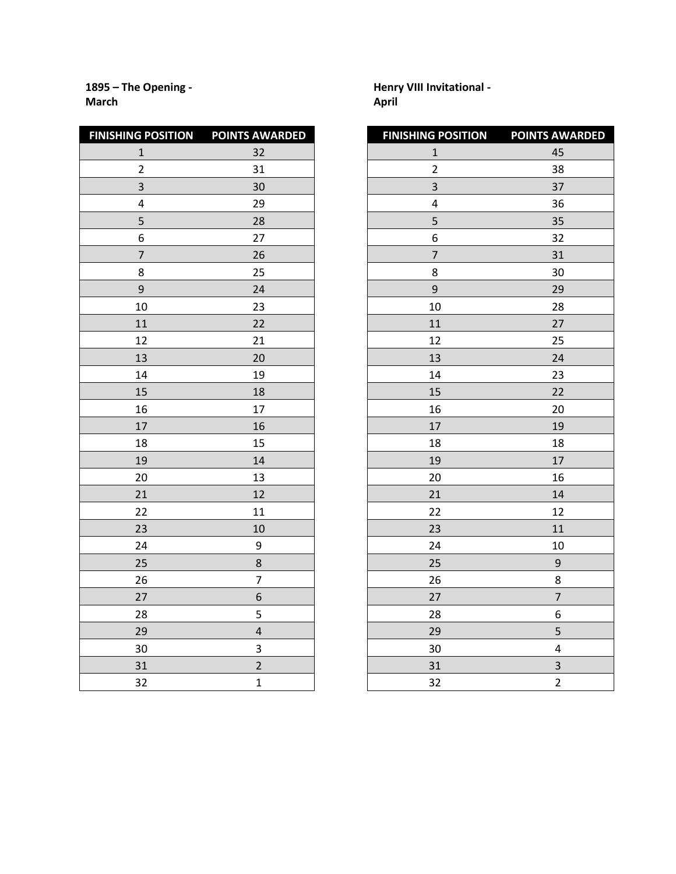**– The Opening - March**

| <b>FINISHING POSITION</b> | <b>POINTS AWARDED</b> |
|---------------------------|-----------------------|
| $\mathbf{1}$              | 32                    |
| $\overline{c}$            | 31                    |
| 3                         | 30                    |
| 4                         | 29                    |
| 5                         | 28                    |
| 6                         | 27                    |
| $\overline{7}$            | 26                    |
| 8                         | 25                    |
| 9                         | 24                    |
| 10                        | 23                    |
| 11                        | 22                    |
| 12                        | 21                    |
| 13                        | 20                    |
| 14                        | 19                    |
| 15                        | 18                    |
| 16                        | 17                    |
| 17                        | 16                    |
| 18                        | 15                    |
| 19                        | 14                    |
| 20                        | 13                    |
| 21                        | 12                    |
| 22                        | 11                    |
| 23                        | 10                    |
| 24                        | 9                     |
| 25                        | 8                     |
| 26                        | 7                     |
| 27                        | 6                     |
| 28                        | 5                     |
| 29                        | 4                     |
| 30                        | 3                     |
| 31                        | $\overline{c}$        |
| 32                        | $\overline{1}$        |

**Henry VIII Invitational - April**

| <b>FINISHING POSITION</b> | <b>POINTS AWARDED</b> | <b>FINISHING POSITION</b> | <b>POINTS AWARDED</b>   |
|---------------------------|-----------------------|---------------------------|-------------------------|
| $\mathbf{1}$              | 32                    | $\mathbf{1}$              | 45                      |
| $\overline{2}$            | 31                    | $\overline{2}$            | 38                      |
| 3                         | 30                    | $\overline{\mathbf{3}}$   | 37                      |
| $\overline{\mathbf{4}}$   | 29                    | $\pmb{4}$                 | 36                      |
| 5                         | 28                    | 5                         | 35                      |
| 6                         | 27                    | 6                         | 32                      |
| $\overline{7}$            | 26                    | $\overline{7}$            | 31                      |
| 8                         | 25                    | 8                         | 30                      |
| 9                         | 24                    | $\mathsf g$               | 29                      |
| 10                        | 23                    | 10                        | 28                      |
| $11\,$                    | 22                    | $11\,$                    | 27                      |
| 12                        | 21                    | 12                        | 25                      |
| 13                        | 20                    | 13                        | 24                      |
| 14                        | 19                    | 14                        | 23                      |
| 15                        | 18                    | 15                        | 22                      |
| 16                        | 17                    | 16                        | 20                      |
| 17                        | 16                    | 17                        | 19                      |
| 18                        | 15                    | 18                        | 18                      |
| 19                        | 14                    | 19                        | 17                      |
| 20                        | 13                    | 20                        | 16                      |
| 21                        | 12                    | 21                        | 14                      |
| 22                        | 11                    | 22                        | 12                      |
| 23                        | 10                    | 23                        | 11                      |
| 24                        | 9                     | 24                        | 10                      |
| 25                        | 8                     | 25                        | $\mathsf 9$             |
| 26                        | $\overline{7}$        | 26                        | 8                       |
| 27                        | $\overline{6}$        | 27                        | $\overline{7}$          |
| 28                        | 5                     | 28                        | 6                       |
| 29                        | $\overline{a}$        | 29                        | 5                       |
| 30                        | 3                     | 30                        | $\pmb{4}$               |
| 31                        | $\mathbf 2$           | 31                        | $\overline{\mathbf{3}}$ |
| 32                        | $\mathbf{1}$          | 32                        | $\overline{2}$          |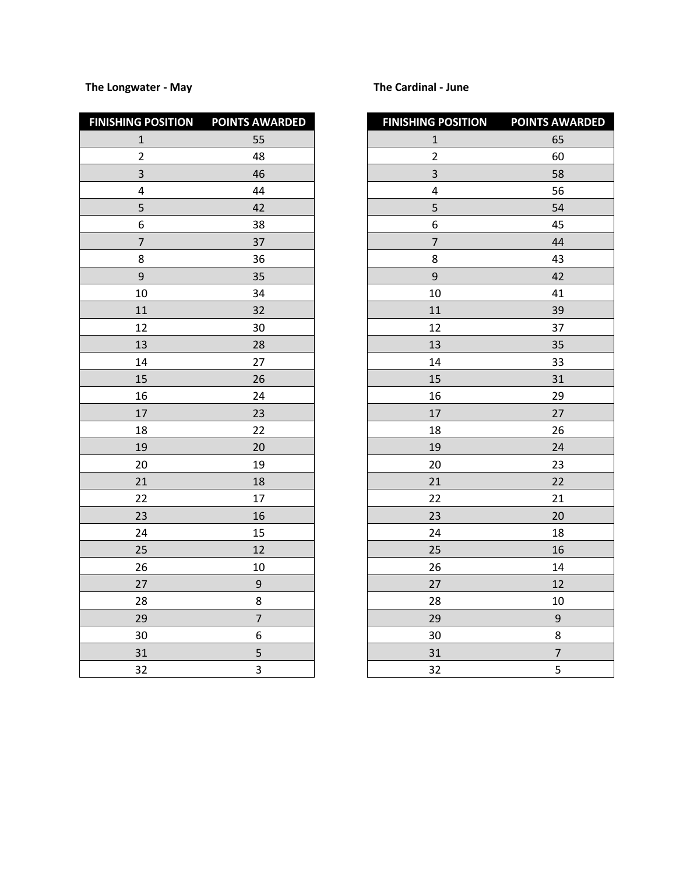## **The Longwater - May The Cardinal - June**

| <b>FINISHING POSITION POINTS AWARDED</b> |                  | <b>FINISHING POSITION</b> | <b>POINTS AV</b> |
|------------------------------------------|------------------|---------------------------|------------------|
| $\mathbf{1}$                             | 55               | $\mathbf{1}$              | 65               |
| $\overline{2}$                           | 48               | $\overline{2}$            | 60               |
| $\overline{\mathbf{3}}$                  | 46               | $\overline{\mathbf{3}}$   | 58               |
| 4                                        | 44               | $\overline{\mathbf{4}}$   | 56               |
| 5                                        | 42               | 5                         | 54               |
| 6                                        | 38               | 6                         | 4 <sub>5</sub>   |
| $\overline{7}$                           | 37               | $\overline{7}$            | 44               |
| 8                                        | 36               | 8                         | 4 <sup>3</sup>   |
| 9                                        | 35               | 9                         | $\overline{4}$   |
| 10                                       | 34               | 10                        | 4 <sup>′</sup>   |
| 11                                       | 32               | 11                        | 3 <sup>5</sup>   |
| 12                                       | 30               | 12                        | 3 <sup>7</sup>   |
| 13                                       | 28               | 13                        | 3 <sub>5</sub>   |
| 14                                       | 27               | 14                        | 3 <sup>2</sup>   |
| 15                                       | 26               | 15                        | 3 <sup>2</sup>   |
| 16                                       | 24               | 16                        | 2 <sup>c</sup>   |
| 17                                       | 23               | 17                        | 2 <sup>7</sup>   |
| 18                                       | 22               | 18                        | 26               |
| 19                                       | 20               | 19                        | 2 <sup>2</sup>   |
| 20                                       | 19               | 20                        | 2 <sup>2</sup>   |
| 21                                       | 18               | 21                        | 2 <sup>2</sup>   |
| 22                                       | 17               | 22                        | 2 <sup>1</sup>   |
| 23                                       | 16               | 23                        | 2(               |
| 24                                       | 15               | 24                        | 18               |
| 25                                       | 12               | 25                        | 16               |
| 26                                       | 10               | 26                        | 14               |
| 27                                       | $\boldsymbol{9}$ | 27                        | 1 <sup>2</sup>   |
| 28                                       | 8                | 28                        | 1(               |
| 29                                       | $\overline{7}$   | 29                        | 9                |
| 30                                       | 6                | 30                        | 8                |
| 31                                       | 5                | 31                        | $\overline{7}$   |
| 32                                       | 3                | 32                        | 5                |

| <b>FINISHING POSITION</b> | <b>POINTS AWARDED</b> | <b>FINISHING POSITION</b> | <b>POINTS AWARDED</b> |
|---------------------------|-----------------------|---------------------------|-----------------------|
| $\mathbf{1}$              | 55                    | $\mathbf{1}$              | 65                    |
| $\overline{2}$            | 48                    | $\overline{2}$            | 60                    |
| $\overline{\mathbf{3}}$   | 46                    | $\overline{\mathbf{3}}$   | 58                    |
| $\overline{\mathbf{4}}$   | 44                    | $\pmb{4}$                 | 56                    |
| 5                         | 42                    | 5                         | 54                    |
| 6                         | 38                    | 6                         | 45                    |
| $\overline{7}$            | 37                    | $\overline{7}$            | 44                    |
| 8                         | 36                    | 8                         | 43                    |
| 9                         | 35                    | $\boldsymbol{9}$          | 42                    |
| 10                        | 34                    | 10                        | 41                    |
| 11                        | 32                    | 11                        | 39                    |
| 12                        | 30                    | 12                        | 37                    |
| 13                        | 28                    | 13                        | 35                    |
| 14                        | 27                    | 14                        | 33                    |
| 15                        | 26                    | 15                        | 31                    |
| 16                        | 24                    | 16                        | 29                    |
| 17                        | 23                    | 17                        | 27                    |
| 18                        | 22                    | 18                        | 26                    |
| 19                        | 20                    | 19                        | 24                    |
| 20                        | 19                    | 20                        | 23                    |
| 21                        | 18                    | 21                        | 22                    |
| 22                        | 17                    | 22                        | 21                    |
| 23                        | 16                    | 23                        | 20                    |
| 24                        | 15                    | 24                        | 18                    |
| 25                        | 12                    | 25                        | 16                    |
| 26                        | 10                    | 26                        | 14                    |
| 27                        | $\overline{9}$        | 27                        | 12                    |
| 28                        | 8                     | 28                        | 10                    |
| 29                        | $\overline{7}$        | 29                        | $\mathsf 9$           |
| 30                        | $\boldsymbol{6}$      | 30                        | 8                     |
| 31                        | 5                     | 31                        | $\overline{7}$        |
| 32                        | $\overline{3}$        | 32                        | 5                     |